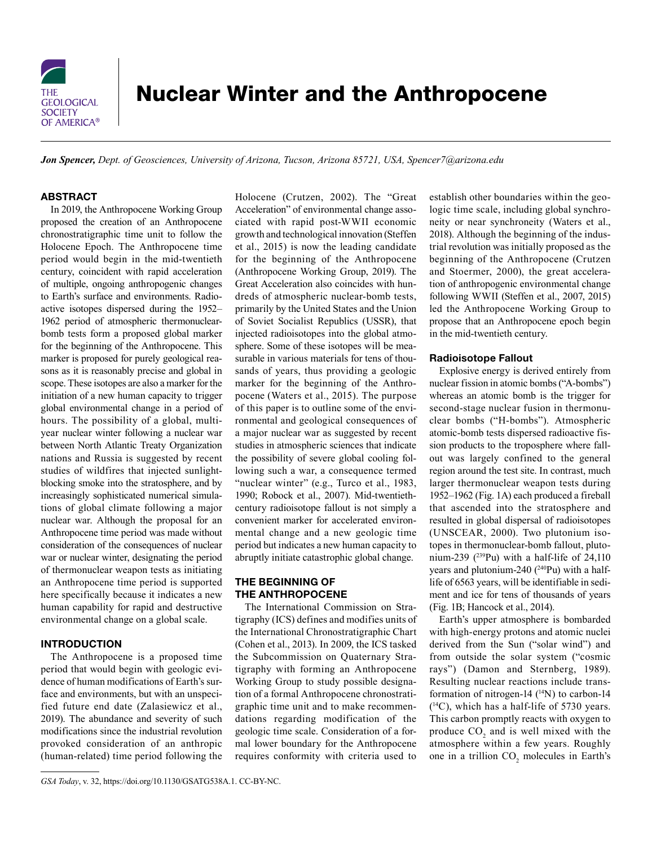

# Nuclear Winter and the Anthropocene

*Jon Spencer, Dept. of Geosciences, University of Arizona, Tucson, Arizona 85721, USA, [Spencer7@arizona.edu](mailto:Spencer7@arizona.edu)*

## ABSTRACT

In 2019, the Anthropocene Working Group proposed the creation of an Anthropocene chronostratigraphic time unit to follow the Holocene Epoch. The Anthropocene time period would begin in the mid-twentieth century, coincident with rapid acceleration of multiple, ongoing anthropogenic changes to Earth's surface and environments. Radioactive isotopes dispersed during the 1952– 1962 period of atmospheric thermonuclearbomb tests form a proposed global marker for the beginning of the Anthropocene. This marker is proposed for purely geological reasons as it is reasonably precise and global in scope. These isotopes are also a marker for the initiation of a new human capacity to trigger global environmental change in a period of hours. The possibility of a global, multiyear nuclear winter following a nuclear war between North Atlantic Treaty Organization nations and Russia is suggested by recent studies of wildfires that injected sunlightblocking smoke into the stratosphere, and by increasingly sophisticated numerical simulations of global climate following a major nuclear war. Although the proposal for an Anthropocene time period was made without consideration of the consequences of nuclear war or nuclear winter, designating the period of thermonuclear weapon tests as initiating an Anthropocene time period is supported here specifically because it indicates a new human capability for rapid and destructive environmental change on a global scale.

## INTRODUCTION

The Anthropocene is a proposed time period that would begin with geologic evidence of human modifications of Earth's surface and environments, but with an unspecified future end date (Zalasiewicz et al., 2019). The abundance and severity of such modifications since the industrial revolution provoked consideration of an anthropic (human-related) time period following the Holocene (Crutzen, 2002). The "Great Acceleration" of environmental change associated with rapid post-WWII economic growth and technological innovation (Steffen et al., 2015) is now the leading candidate for the beginning of the Anthropocene (Anthropocene Working Group, 2019). The Great Acceleration also coincides with hundreds of atmospheric nuclear-bomb tests, primarily by the United States and the Union of Soviet Socialist Republics (USSR), that injected radioisotopes into the global atmosphere. Some of these isotopes will be measurable in various materials for tens of thousands of years, thus providing a geologic marker for the beginning of the Anthropocene (Waters et al., 2015). The purpose of this paper is to outline some of the environmental and geological consequences of a major nuclear war as suggested by recent studies in atmospheric sciences that indicate the possibility of severe global cooling following such a war, a consequence termed "nuclear winter" (e.g., Turco et al., 1983, 1990; Robock et al., 2007). Mid-twentiethcentury radioisotope fallout is not simply a convenient marker for accelerated environmental change and a new geologic time period but indicates a new human capacity to abruptly initiate catastrophic global change.

# THE BEGINNING OF THE ANTHROPOCENE

The International Commission on Stratigraphy (ICS) defines and modifies units of the International Chronostratigraphic Chart (Cohen et al., 2013). In 2009, the ICS tasked the Subcommission on Quaternary Stratigraphy with forming an Anthropocene Working Group to study possible designation of a formal Anthropocene chronostratigraphic time unit and to make recommendations regarding modification of the geologic time scale. Consideration of a formal lower boundary for the Anthropocene requires conformity with criteria used to establish other boundaries within the geologic time scale, including global synchroneity or near synchroneity (Waters et al., 2018). Although the beginning of the industrial revolution was initially proposed as the beginning of the Anthropocene (Crutzen and Stoermer, 2000), the great acceleration of anthropogenic environmental change following WWII (Steffen et al., 2007, 2015) led the Anthropocene Working Group to propose that an Anthropocene epoch begin in the mid-twentieth century.

### Radioisotope Fallout

Explosive energy is derived entirely from nuclear fission in atomic bombs ("A-bombs") whereas an atomic bomb is the trigger for second-stage nuclear fusion in thermonuclear bombs ("H-bombs"). Atmospheric atomic-bomb tests dispersed radioactive fission products to the troposphere where fallout was largely confined to the general region around the test site. In contrast, much larger thermonuclear weapon tests during 1952–1962 (Fig. 1A) each produced a fireball that ascended into the stratosphere and resulted in global dispersal of radioisotopes (UNSCEAR, 2000). Two plutonium isotopes in thermonuclear-bomb fallout, plutonium-239 ( $^{239}$ Pu) with a half-life of 24,110 years and plutonium-240  $(^{240}Pu)$  with a halflife of 6563 years, will be identifiable in sediment and ice for tens of thousands of years (Fig. 1B; Hancock et al., 2014).

Earth's upper atmosphere is bombarded with high-energy protons and atomic nuclei derived from the Sun ("solar wind") and from outside the solar system ("cosmic rays") (Damon and Sternberg, 1989). Resulting nuclear reactions include transformation of nitrogen-14 ( $\rm ^{14}N$ ) to carbon-14 ( 14C), which has a half-life of 5730 years. This carbon promptly reacts with oxygen to produce  $CO<sub>2</sub>$  and is well mixed with the atmosphere within a few years. Roughly one in a trillion  $CO_2$  molecules in Earth's

*GSA Today*, v. 32, [https://doi.org/10.1130/GSATG538A.1.](https://doi.org/10.1130/GSATG538A.1) CC-BY-NC.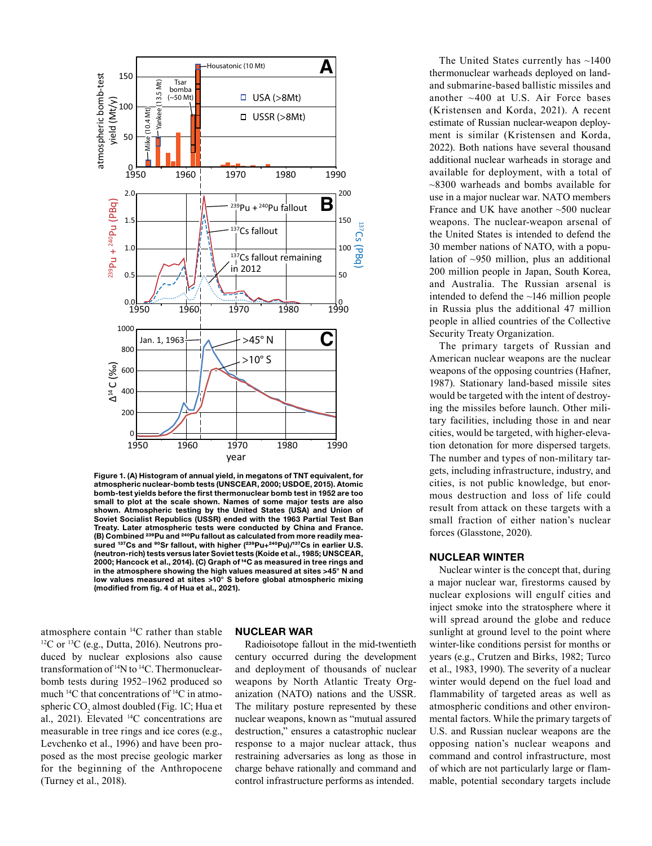

Figure 1. (A) Histogram of annual yield, in megatons of TNT equivalent, for atmospheric nuclear-bomb tests (UNSCEAR, 2000; USDOE, 2015). Atomic bomb-test yields before the first thermonuclear bomb test in 1952 are too small to plot at the scale shown. Names of some major tests are also shown. Atmospheric testing by the United States (USA) and Union of Soviet Socialist Republics (USSR) ended with the 1963 Partial Test Ban Treaty. Later atmospheric tests were conducted by China and France. (B) Combined <sup>239</sup>Pu and <sup>240</sup>Pu fallout as calculated from more readily measured <sup>137</sup>Cs and <sup>90</sup>Sr fallout, with higher (<sup>239</sup>Pu+<sup>240</sup>Pu)/<sup>137</sup>Cs in earlier U.S. (neutron-rich) tests versus later Soviet tests (Koide et al., 1985; UNSCEAR, 2000; Hancock et al., 2014). (C) Graph of <sup>14</sup>C as measured in tree rings and in the atmosphere showing the high values measured at sites >45° N and low values measured at sites >10° S before global atmospheric mixing (modified from fig. 4 of Hua et al., 2021).

atmosphere contain <sup>14</sup>C rather than stable <sup>12</sup>C or <sup>13</sup>C (e.g., Dutta, 2016). Neutrons produced by nuclear explosions also cause transformation of 14N to 14C. Thermonuclearbomb tests during 1952–1962 produced so much 14C that concentrations of 14C in atmospheric  $CO<sub>2</sub>$  almost doubled (Fig. 1C; Hua et al., 2021). Elevated  $^{14}C$  concentrations are measurable in tree rings and ice cores (e.g., Levchenko et al., 1996) and have been proposed as the most precise geologic marker for the beginning of the Anthropocene (Turney et al., 2018).

#### NUCLEAR WAR

Radioisotope fallout in the mid-twentieth century occurred during the development and deployment of thousands of nuclear weapons by North Atlantic Treaty Organization (NATO) nations and the USSR. The military posture represented by these nuclear weapons, known as "mutual assured destruction," ensures a catastrophic nuclear response to a major nuclear attack, thus restraining adversaries as long as those in charge behave rationally and command and control infrastructure performs as intended.

The United States currently has  $\sim$ 1400 thermonuclear warheads deployed on landand submarine-based ballistic missiles and another ~400 at U.S. Air Force bases (Kristensen and Korda, 2021). A recent estimate of Russian nuclear-weapon deployment is similar (Kristensen and Korda, 2022). Both nations have several thousand additional nuclear warheads in storage and available for deployment, with a total of ~8300 warheads and bombs available for use in a major nuclear war. NATO members France and UK have another ~500 nuclear weapons. The nuclear-weapon arsenal of the United States is intended to defend the 30 member nations of NATO, with a population of ~950 million, plus an additional 200 million people in Japan, South Korea, and Australia. The Russian arsenal is intended to defend the ~146 million people in Russia plus the additional 47 million people in allied countries of the Collective Security Treaty Organization.

The primary targets of Russian and American nuclear weapons are the nuclear weapons of the opposing countries (Hafner, 1987). Stationary land-based missile sites would be targeted with the intent of destroying the missiles before launch. Other military facilities, including those in and near cities, would be targeted, with higher-elevation detonation for more dispersed targets. The number and types of non-military targets, including infrastructure, industry, and cities, is not public knowledge, but enormous destruction and loss of life could result from attack on these targets with a small fraction of either nation's nuclear forces (Glasstone, 2020).

#### NUCLEAR WINTER

Nuclear winter is the concept that, during a major nuclear war, firestorms caused by nuclear explosions will engulf cities and inject smoke into the stratosphere where it will spread around the globe and reduce sunlight at ground level to the point where winter-like conditions persist for months or years (e.g., Crutzen and Birks, 1982; Turco et al., 1983, 1990). The severity of a nuclear winter would depend on the fuel load and flammability of targeted areas as well as atmospheric conditions and other environmental factors. While the primary targets of U.S. and Russian nuclear weapons are the opposing nation's nuclear weapons and command and control infrastructure, most of which are not particularly large or flammable, potential secondary targets include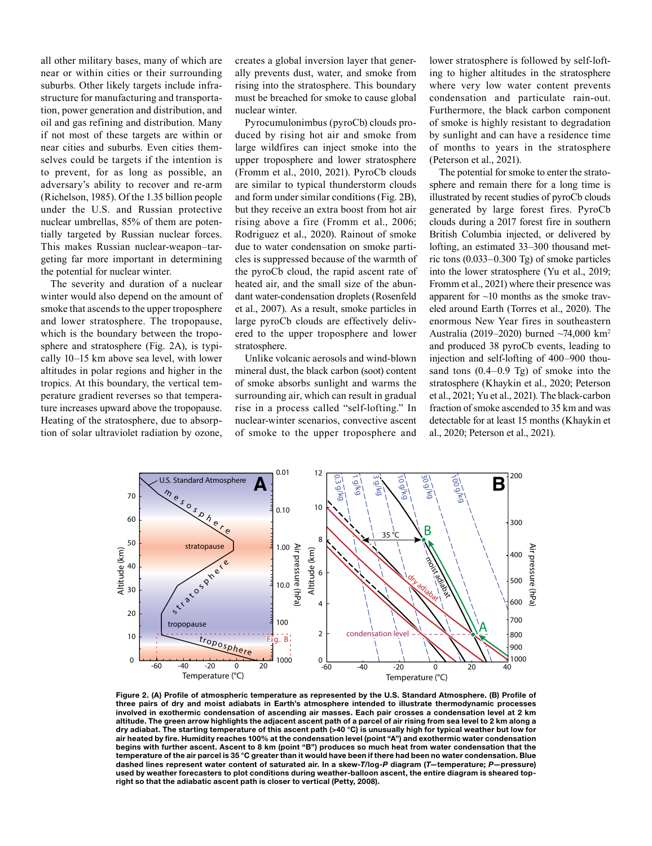all other military bases, many of which are near or within cities or their surrounding suburbs. Other likely targets include infrastructure for manufacturing and transportation, power generation and distribution, and oil and gas refining and distribution. Many if not most of these targets are within or near cities and suburbs. Even cities themselves could be targets if the intention is to prevent, for as long as possible, an adversary's ability to recover and re-arm (Richelson, 1985). Of the 1.35 billion people under the U.S. and Russian protective nuclear umbrellas, 85% of them are potentially targeted by Russian nuclear forces. This makes Russian nuclear-weapon–targeting far more important in determining the potential for nuclear winter.

The severity and duration of a nuclear winter would also depend on the amount of smoke that ascends to the upper troposphere and lower stratosphere. The tropopause, which is the boundary between the troposphere and stratosphere (Fig. 2A), is typically 10–15 km above sea level, with lower altitudes in polar regions and higher in the tropics. At this boundary, the vertical temperature gradient reverses so that temperature increases upward above the tropopause. Heating of the stratosphere, due to absorption of solar ultraviolet radiation by ozone,

creates a global inversion layer that generally prevents dust, water, and smoke from rising into the stratosphere. This boundary must be breached for smoke to cause global nuclear winter.

Pyrocumulonimbus (pyroCb) clouds produced by rising hot air and smoke from large wildfires can inject smoke into the upper troposphere and lower stratosphere (Fromm et al., 2010, 2021). PyroCb clouds are similar to typical thunderstorm clouds and form under similar conditions (Fig. 2B), but they receive an extra boost from hot air rising above a fire (Fromm et al., 2006; Rodriguez et al., 2020). Rainout of smoke due to water condensation on smoke particles is suppressed because of the warmth of the pyroCb cloud, the rapid ascent rate of heated air, and the small size of the abundant water-condensation droplets (Rosenfeld et al., 2007). As a result, smoke particles in large pyroCb clouds are effectively delivered to the upper troposphere and lower stratosphere.

Unlike volcanic aerosols and wind-blown mineral dust, the black carbon (soot) content of smoke absorbs sunlight and warms the surrounding air, which can result in gradual rise in a process called "self-lofting." In nuclear-winter scenarios, convective ascent of smoke to the upper troposphere and lower stratosphere is followed by self-lofting to higher altitudes in the stratosphere where very low water content prevents condensation and particulate rain-out. Furthermore, the black carbon component of smoke is highly resistant to degradation by sunlight and can have a residence time of months to years in the stratosphere (Peterson et al., 2021).

The potential for smoke to enter the stratosphere and remain there for a long time is illustrated by recent studies of pyroCb clouds generated by large forest fires. PyroCb clouds during a 2017 forest fire in southern British Columbia injected, or delivered by lofting, an estimated 33–300 thousand metric tons (0.033–0.300 Tg) of smoke particles into the lower stratosphere (Yu et al., 2019; Fromm et al., 2021) where their presence was apparent for ~10 months as the smoke traveled around Earth (Torres et al., 2020). The enormous New Year fires in southeastern Australia (2019–2020) burned ~74,000 km2 and produced 38 pyroCb events, leading to injection and self-lofting of 400–900 thousand tons (0.4–0.9 Tg) of smoke into the stratosphere (Khaykin et al., 2020; Peterson et al., 2021; Yu et al., 2021). The black-carbon fraction of smoke ascended to 35 km and was detectable for at least 15 months (Khaykin et al., 2020; Peterson et al., 2021).



Figure 2. (A) Profile of atmospheric temperature as represented by the U.S. Standard Atmosphere. (B) Profile of three pairs of dry and moist adiabats in Earth's atmosphere intended to illustrate thermodynamic processes involved in exothermic condensation of ascending air masses. Each pair crosses a condensation level at 2 km altitude. The green arrow highlights the adjacent ascent path of a parcel of air rising from sea level to 2 km along a dry adiabat. The starting temperature of this ascent path (>40 °C) is unusually high for typical weather but low for air heated by fire. Humidity reaches 100% at the condensation level (point "A") and exothermic water condensation begins with further ascent. Ascent to 8 km (point "B") produces so much heat from water condensation that the temperature of the air parcel is 35 °C greater than it would have been if there had been no water condensation. Blue dashed lines represent water content of saturated air. In a skew-*T*/log-*P* diagram (*T*—temperature; *P*—pressure) used by weather forecasters to plot conditions during weather-balloon ascent, the entire diagram is sheared topright so that the adiabatic ascent path is closer to vertical (Petty, 2008).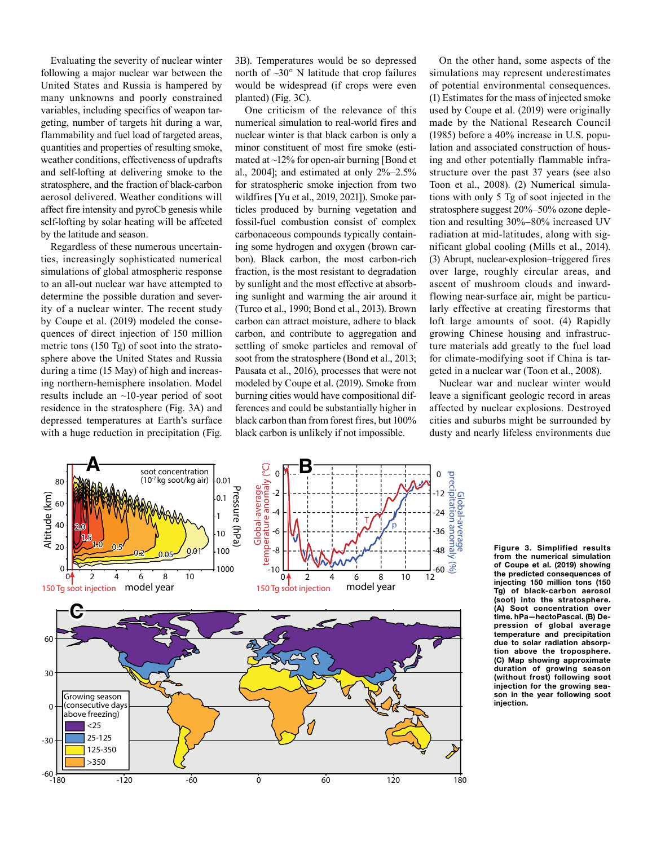Evaluating the severity of nuclear winter following a major nuclear war between the United States and Russia is hampered by many unknowns and poorly constrained variables, including specifics of weapon targeting, number of targets hit during a war, flammability and fuel load of targeted areas, quantities and properties of resulting smoke, weather conditions, effectiveness of updrafts and self-lofting at delivering smoke to the stratosphere, and the fraction of black-carbon aerosol delivered. Weather conditions will affect fire intensity and pyroCb genesis while self-lofting by solar heating will be affected by the latitude and season.

Regardless of these numerous uncertainties, increasingly sophisticated numerical simulations of global atmospheric response to an all-out nuclear war have attempted to determine the possible duration and severity of a nuclear winter. The recent study by Coupe et al. (2019) modeled the consequences of direct injection of 150 million metric tons (150 Tg) of soot into the stratosphere above the United States and Russia during a time (15 May) of high and increasing northern-hemisphere insolation. Model results include an ~10-year period of soot residence in the stratosphere (Fig. 3A) and depressed temperatures at Earth's surface with a huge reduction in precipitation (Fig.

3B). Temperatures would be so depressed north of  $\sim 30^\circ$  N latitude that crop failures would be widespread (if crops were even planted) (Fig. 3C).

One criticism of the relevance of this numerical simulation to real-world fires and nuclear winter is that black carbon is only a minor constituent of most fire smoke (estimated at  $\sim$ 12% for open-air burning [Bond et al., 2004]; and estimated at only  $2\%-2.5\%$ for stratospheric smoke injection from two wildfires [Yu et al., 2019, 2021]). Smoke particles produced by burning vegetation and fossil-fuel combustion consist of complex carbonaceous compounds typically containing some hydrogen and oxygen (brown carbon). Black carbon, the most carbon-rich fraction, is the most resistant to degradation by sunlight and the most effective at absorbing sunlight and warming the air around it (Turco et al., 1990; Bond et al., 2013). Brown carbon can attract moisture, adhere to black carbon, and contribute to aggregation and settling of smoke particles and removal of soot from the stratosphere (Bond et al., 2013; Pausata et al., 2016), processes that were not modeled by Coupe et al. (2019). Smoke from burning cities would have compositional differences and could be substantially higher in black carbon than from forest fires, but 100% black carbon is unlikely if not impossible.

On the other hand, some aspects of the simulations may represent underestimates of potential environmental consequences. (1) Estimates for the mass of injected smoke used by Coupe et al. (2019) were originally made by the National Research Council (1985) before a 40% increase in U.S. population and associated construction of housing and other potentially flammable infrastructure over the past 37 years (see also Toon et al., 2008). (2) Numerical simulations with only 5 Tg of soot injected in the stratosphere suggest 20%–50% ozone depletion and resulting 30%–80% increased UV radiation at mid-latitudes, along with significant global cooling (Mills et al., 2014). (3) Abrupt, nuclear-explosion–triggered fires over large, roughly circular areas, and ascent of mushroom clouds and inwardflowing near-surface air, might be particularly effective at creating firestorms that loft large amounts of soot. (4) Rapidly growing Chinese housing and infrastructure materials add greatly to the fuel load for climate-modifying soot if China is targeted in a nuclear war (Toon et al., 2008).

Nuclear war and nuclear winter would leave a significant geologic record in areas affected by nuclear explosions. Destroyed cities and suburbs might be surrounded by dusty and nearly lifeless environments due



Figure 3. Simplified results from the numerical simulation of Coupe et al. (2019) showing the predicted consequences of injecting 150 million tons (150 Tg) of black-carbon aerosol (soot) into the stratosphere. (A) Soot concentration over time. hPa—hectoPascal. (B) Depression of global average temperature and precipitation due to solar radiation absorption above the troposphere. (C) Map showing approximate duration of growing season (without frost) following soot injection for the growing season in the year following soot injection.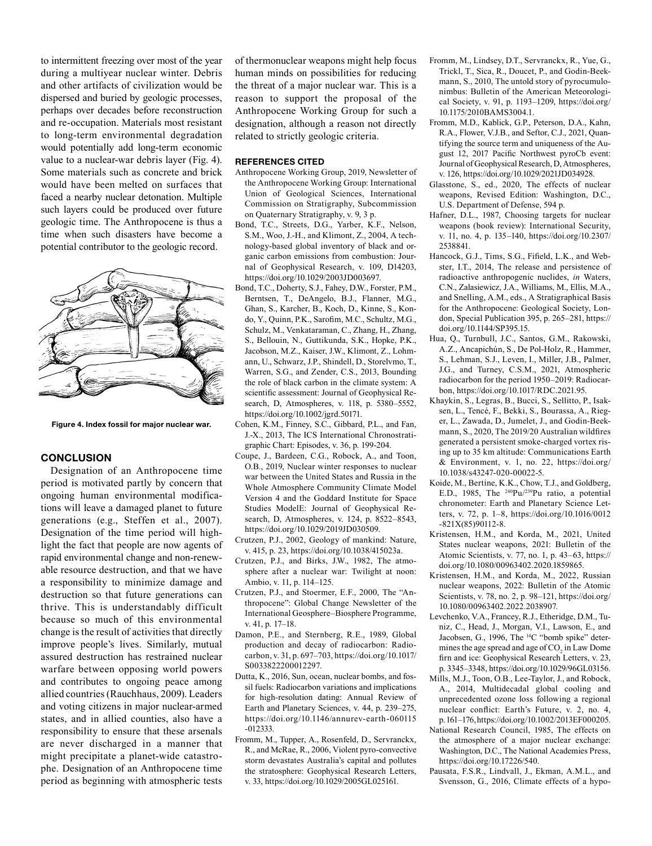to intermittent freezing over most of the year during a multiyear nuclear winter. Debris and other artifacts of civilization would be dispersed and buried by geologic processes, perhaps over decades before reconstruction and re-occupation. Materials most resistant to long-term environmental degradation would potentially add long-term economic value to a nuclear-war debris layer (Fig. 4). Some materials such as concrete and brick would have been melted on surfaces that faced a nearby nuclear detonation. Multiple such layers could be produced over future geologic time. The Anthropocene is thus a time when such disasters have become a potential contributor to the geologic record.



Figure 4. Index fossil for major nuclear war.

## **CONCLUSION**

Designation of an Anthropocene time period is motivated partly by concern that ongoing human environmental modifications will leave a damaged planet to future generations (e.g., Steffen et al., 2007). Designation of the time period will highlight the fact that people are now agents of rapid environmental change and non-renewable resource destruction, and that we have a responsibility to minimize damage and destruction so that future generations can thrive. This is understandably difficult because so much of this environmental change is the result of activities that directly improve people's lives. Similarly, mutual assured destruction has restrained nuclear warfare between opposing world powers and contributes to ongoing peace among allied countries (Rauchhaus, 2009). Leaders and voting citizens in major nuclear-armed states, and in allied counties, also have a responsibility to ensure that these arsenals are never discharged in a manner that might precipitate a planet-wide catastrophe. Designation of an Anthropocene time period as beginning with atmospheric tests of thermonuclear weapons might help focus human minds on possibilities for reducing the threat of a major nuclear war. This is a reason to support the proposal of the Anthropocene Working Group for such a designation, although a reason not directly related to strictly geologic criteria.

#### REFERENCES CITED

- Anthropocene Working Group, 2019, Newsletter of the Anthropocene Working Group: International Union of Geological Sciences, International Commission on Stratigraphy, Subcommission on Quaternary Stratigraphy, v. 9, 3 p.
- Bond, T.C., Streets, D.G., Yarber, K.F., Nelson, S.M., Woo, J.-H., and Klimont, Z., 2004, A technology-based global inventory of black and organic carbon emissions from combustion: Journal of Geophysical Research, v. 109, D14203, [https://doi.org/10.1029/2003JD003697.](https://doi.org/10.1029/2003JD003697)
- Bond, T.C., Doherty, S.J., Fahey, D.W., Forster, P.M., Berntsen, T., DeAngelo, B.J., Flanner, M.G., Ghan, S., Karcher, B., Koch, D., Kinne, S., Kondo, Y., Quinn, P.K., Sarofim, M.C., Schultz, M.G., Schulz, M., Venkataraman, C., Zhang, H., Zhang, S., Bellouin, N., Guttikunda, S.K., Hopke, P.K., Jacobson, M.Z., Kaiser, J.W., Klimont, Z., Lohmann, U., Schwarz, J.P., Shindell, D., Storelvmo, T., Warren, S.G., and Zender, C.S., 2013, Bounding the role of black carbon in the climate system: A scientific assessment: Journal of Geophysical Research, D, Atmospheres, v. 118, p. 5380–5552, <https://doi.org/10.1002/jgrd.50171>.
- Cohen, K.M., Finney, S.C., Gibbard, P.L., and Fan, J.-X., 2013, The ICS International Chronostratigraphic Chart: Episodes, v. 36, p. 199-204.
- Coupe, J., Bardeen, C.G., Robock, A., and Toon, O.B., 2019, Nuclear winter responses to nuclear war between the United States and Russia in the Whole Atmosphere Community Climate Model Version 4 and the Goddard Institute for Space Studies ModelE: Journal of Geophysical Research, D, Atmospheres, v. 124, p. 8522–8543, [https://doi.org/10.1029/2019JD030509.](https://doi.org/10.1029/2019JD030509)
- Crutzen, P.J., 2002, Geology of mankind: Nature, v. 415, p. 23, [https://doi.org/10.1038/415023a.](https://doi.org/10.1038/415023a)
- Crutzen, P.J., and Birks, J.W., 1982, The atmosphere after a nuclear war: Twilight at noon: Ambio, v. 11, p. 114–125.
- Crutzen, P.J., and Stoermer, E.F., 2000, The "Anthropocene": Global Change Newsletter of the International Geosphere–Biosphere Programme, v. 41, p. 17–18.
- Damon, P.E., and Sternberg, R.E., 1989, Global production and decay of radiocarbon: Radiocarbon, v. 31, p. 697–703, [https://doi.org/10.1017/](https://doi.org/10.1017/S0033822200012297) [S0033822200012297.](https://doi.org/10.1017/S0033822200012297)
- Dutta, K., 2016, Sun, ocean, nuclear bombs, and fossil fuels: Radiocarbon variations and implications for high-resolution dating: Annual Review of Earth and Planetary Sciences, v. 44, p. 239–275, [https://doi.org/10.1146/annurev-earth-060115](https://doi.org/10.1146/annurev-earth-060115-012333) [-012333.](https://doi.org/10.1146/annurev-earth-060115-012333)
- Fromm, M., Tupper, A., Rosenfeld, D., Servranckx, R., and McRae, R., 2006, Violent pyro-convective storm devastates Australia's capital and pollutes the stratosphere: Geophysical Research Letters, v. 33,<https://doi.org/10.1029/2005GL025161>.
- Fromm, M., Lindsey, D.T., Servranckx, R., Yue, G., Trickl, T., Sica, R., Doucet, P., and Godin-Beekmann, S., 2010, The untold story of pyrocumulonimbus: Bulletin of the American Meteorological Society, v. 91, p. 1193–1209, [https://doi.org/](https://doi.org/10.1175/2010BAMS3004.1) [10.1175/2010BAMS3004.1.](https://doi.org/10.1175/2010BAMS3004.1)
- Fromm, M.D., Kablick, G.P., Peterson, D.A., Kahn, R.A., Flower, V.J.B., and Seftor, C.J., 2021, Quantifying the source term and uniqueness of the August 12, 2017 Pacific Northwest pyroCb event: Journal of Geophysical Research, D, Atmospheres, v. 126, [https://doi.org/10.1029/2021JD034928.](https://doi.org/10.1029/2021JD034928)
- Glasstone, S., ed., 2020, The effects of nuclear weapons, Revised Edition: Washington, D.C., U.S. Department of Defense, 594 p.
- Hafner, D.L., 1987, Choosing targets for nuclear weapons (book review): International Security, v. 11, no. 4, p. 135–140, [https://doi.org/10.2307/](https://doi.org/10.2307/2538841) [2538841](https://doi.org/10.2307/2538841).
- Hancock, G.J., Tims, S.G., Fifield, L.K., and Webster, I.T., 2014, The release and persistence of radioactive anthropogenic nuclides, *in* Waters, C.N., Zalasiewicz, J.A., Williams, M., Ellis, M.A., and Snelling, A.M., eds., A Stratigraphical Basis for the Anthropocene: Geological Society, London, Special Publication 395, p. 265–281, [https://](https://doi.org/10.1144/SP395.15) [doi.org/10.1144/SP395.15](https://doi.org/10.1144/SP395.15).
- Hua, Q., Turnbull, J.C., Santos, G.M., Rakowski, A.Z., Ancapichún, S., De Pol-Holz, R., Hammer, S., Lehman, S.J., Leven, I., Miller, J.B., Palmer, J.G., and Turney, C.S.M., 2021, Atmospheric radiocarbon for the period 1950–2019: Radiocarbon, <https://doi.org/10.1017/RDC.2021.95>.
- Khaykin, S., Legras, B., Bucci, S., Sellitto, P., Isaksen, L., Tencé, F., Bekki, S., Bourassa, A., Rieger, L., Zawada, D., Jumelet, J., and Godin-Beekmann, S., 2020, The 2019/20 Australian wildfires generated a persistent smoke-charged vortex rising up to 35 km altitude: Communications Earth & Environment, v. 1, no. 22, [https://doi.org/](https://doi.org/10.1038/s43247-020-00022-5) [10.1038/s43247-020-00022-5.](https://doi.org/10.1038/s43247-020-00022-5)
- Koide, M., Bertine, K.K., Chow, T.J., and Goldberg, E.D., 1985, The  $240$ Pu/ $239$ Pu ratio, a potential chronometer: Earth and Planetary Science Letters, v. 72, p. 1–8, [https://doi.org/10.1016/0012](https://doi.org/10.1016/0012-821X(85)90112-8) [-821X\(85\)90112-8](https://doi.org/10.1016/0012-821X(85)90112-8).
- Kristensen, H.M., and Korda, M., 2021, United States nuclear weapons, 2021: Bulletin of the Atomic Scientists, v. 77, no. 1, p. 43–63, [https://](https://doi.org/10.1080/00963402.2020.1859865) [doi.org/10.1080/00963402.2020.1859865.](https://doi.org/10.1080/00963402.2020.1859865)
- Kristensen, H.M., and Korda, M., 2022, Russian nuclear weapons, 2022: Bulletin of the Atomic Scientists, v. 78, no. 2, p. 98–121, [https://doi.org/](https://doi.org/10.1080/00963402.2022.2038907) [10.1080/00963402.2022.2038907](https://doi.org/10.1080/00963402.2022.2038907).
- Levchenko, V.A., Francey, R.J., Etheridge, D.M., Tuniz, C., Head, J., Morgan, V.I., Lawson, E., and Jacobsen, G., 1996, The <sup>14</sup>C "bomb spike" determines the age spread and age of  $CO<sub>2</sub>$  in Law Dome firn and ice: Geophysical Research Letters, v. 23, p. 3345–3348, <https://doi.org/10.1029/96GL03156>.
- Mills, M.J., Toon, O.B., Lee-Taylor, J., and Robock, A., 2014, Multidecadal global cooling and unprecedented ozone loss following a regional nuclear conflict: Earth's Future, v. 2, no. 4, p.161–176,<https://doi.org/10.1002/2013EF000205>.
- National Research Council, 1985, The effects on the atmosphere of a major nuclear exchange: Washington, D.C., The National Academies Press, <https://doi.org/10.17226/540>.
- Pausata, F.S.R., Lindvall, J., Ekman, A.M.L., and Svensson, G., 2016, Climate effects of a hypo-